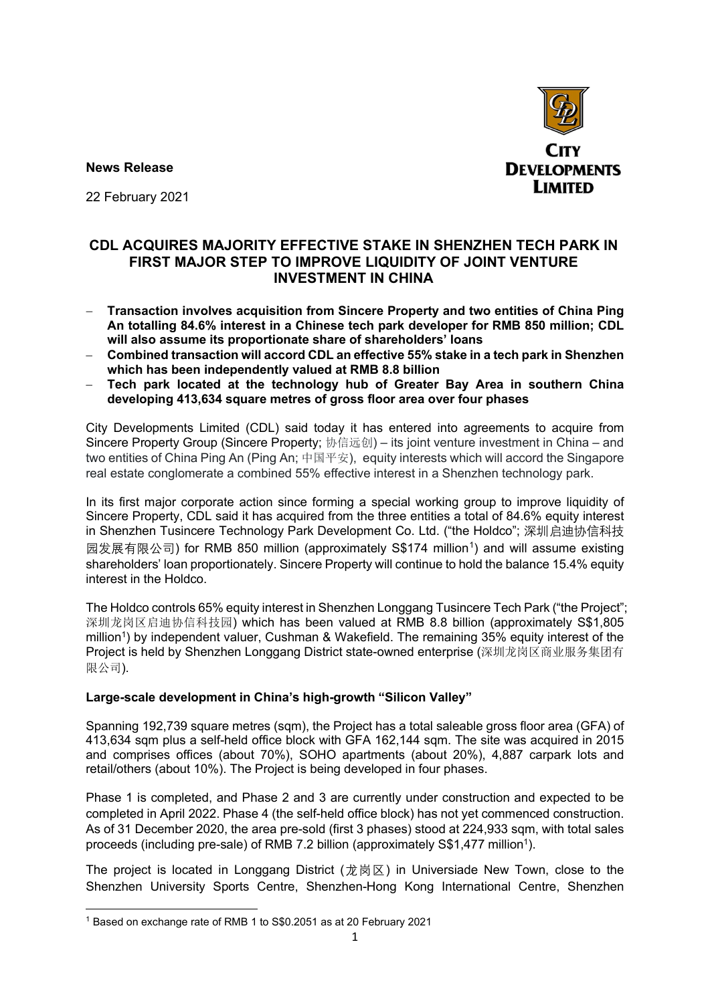**News Release**



22 February 2021

## **CDL ACQUIRES MAJORITY EFFECTIVE STAKE IN SHENZHEN TECH PARK IN FIRST MAJOR STEP TO IMPROVE LIQUIDITY OF JOINT VENTURE INVESTMENT IN CHINA**

- − **Transaction involves acquisition from Sincere Property and two entities of China Ping An totalling 84.6% interest in a Chinese tech park developer for RMB 850 million; CDL will also assume its proportionate share of shareholders' loans**
- − **Combined transaction will accord CDL an effective 55% stake in a tech park in Shenzhen which has been independently valued at RMB 8.8 billion**
- − **Tech park located at the technology hub of Greater Bay Area in southern China developing 413,634 square metres of gross floor area over four phases**

City Developments Limited (CDL) said today it has entered into agreements to acquire from Sincere Property Group (Sincere Property; 协信远创) – its joint venture investment in China – and two entities of China Ping An (Ping An; 中国平安), equity interests which will accord the Singapore real estate conglomerate a combined 55% effective interest in a Shenzhen technology park.

In its first major corporate action since forming a special working group to improve liquidity of Sincere Property, CDL said it has acquired from the three entities a total of 84.6% equity interest in Shenzhen Tusincere Technology Park Development Co. Ltd. ("the Holdco"; 深圳启迪协信科技 园发展有限公司) for RMB 850 million (approximately S\$174 million[1](#page-0-0)) and will assume existing shareholders' loan proportionately. Sincere Property will continue to hold the balance 15.4% equity interest in the Holdco.

The Holdco controls 65% equity interest in Shenzhen Longgang Tusincere Tech Park ("the Project"; 深圳龙岗区启迪协信科技园) which has been valued at RMB 8.8 billion (approximately S\$1,805 million<sup>1</sup>) by independent valuer, Cushman & Wakefield. The remaining 35% equity interest of the Project is held by Shenzhen Longgang District state-owned enterprise (深圳龙岗区商业服务集团有 限公司).

### **Large-scale development in China's high-growth "Silicon Valley"**

Spanning 192,739 square metres (sqm), the Project has a total saleable gross floor area (GFA) of 413,634 sqm plus a self-held office block with GFA 162,144 sqm. The site was acquired in 2015 and comprises offices (about 70%), SOHO apartments (about 20%), 4,887 carpark lots and retail/others (about 10%). The Project is being developed in four phases.

Phase 1 is completed, and Phase 2 and 3 are currently under construction and expected to be completed in April 2022. Phase 4 (the self-held office block) has not yet commenced construction. As of 31 December 2020, the area pre-sold (first 3 phases) stood at 224,933 sqm, with total sales proceeds (including pre-sale) of RMB 7.2 billion (approximately S\$1,477 million<sup>1</sup>).

The project is located in Longgang District (龙岗区) in Universiade New Town, close to the Shenzhen University Sports Centre, Shenzhen-Hong Kong International Centre, Shenzhen

<span id="page-0-0"></span><sup>1</sup> Based on exchange rate of RMB 1 to S\$0.2051 as at 20 February 2021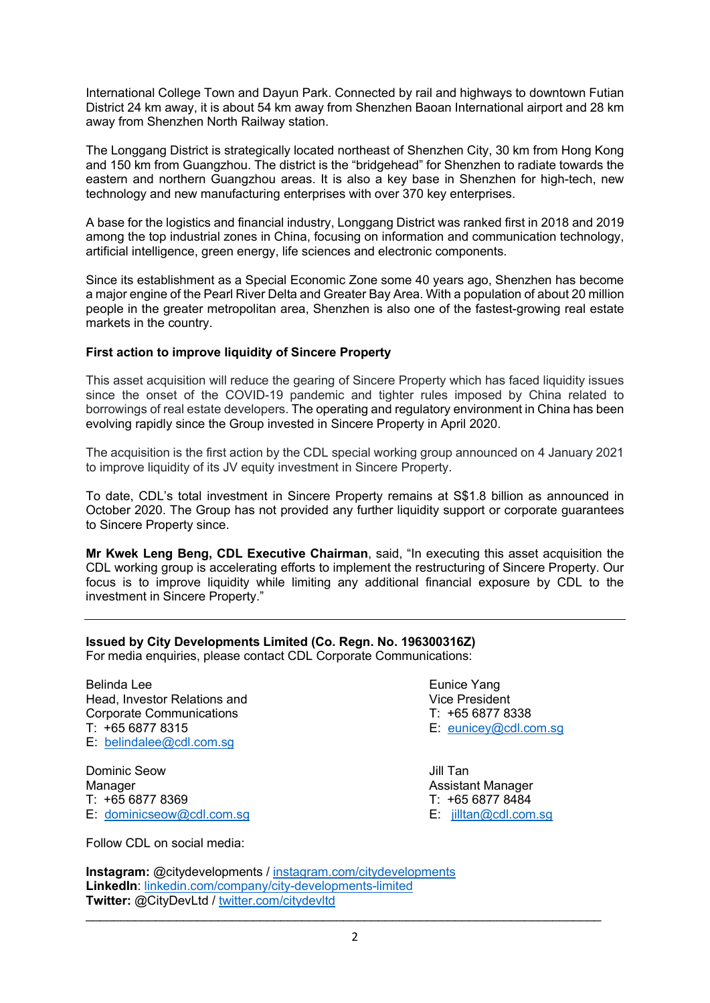International College Town and Dayun Park. Connected by rail and highways to downtown Futian District 24 km away, it is about 54 km away from Shenzhen Baoan International airport and 28 km away from Shenzhen North Railway station.

The Longgang District is strategically located northeast of Shenzhen City, 30 km from Hong Kong and 150 km from Guangzhou. The district is the "bridgehead" for Shenzhen to radiate towards the eastern and northern Guangzhou areas. It is also a key base in Shenzhen for high-tech, new technology and new manufacturing enterprises with over 370 key enterprises.

A base for the logistics and financial industry, Longgang District was ranked first in 2018 and 2019 among the top industrial zones in China, focusing on information and communication technology, artificial intelligence, green energy, life sciences and electronic components.

Since its establishment as a Special Economic Zone some 40 years ago, Shenzhen has become a major engine of the Pearl River Delta and Greater Bay Area. With a population of about 20 million people in the greater metropolitan area, Shenzhen is also one of the fastest-growing real estate markets in the country.

### **First action to improve liquidity of Sincere Property**

This asset acquisition will reduce the gearing of Sincere Property which has faced liquidity issues since the onset of the COVID-19 pandemic and tighter rules imposed by China related to borrowings of real estate developers. The operating and regulatory environment in China has been evolving rapidly since the Group invested in Sincere Property in April 2020.

The acquisition is the first action by the CDL special working group announced on 4 January 2021 to improve liquidity of its JV equity investment in Sincere Property.

To date, CDL's total investment in Sincere Property remains at S\$1.8 billion as announced in October 2020. The Group has not provided any further liquidity support or corporate guarantees to Sincere Property since.

**Mr Kwek Leng Beng, CDL Executive Chairman**, said, "In executing this asset acquisition the CDL working group is accelerating efforts to implement the restructuring of Sincere Property. Our focus is to improve liquidity while limiting any additional financial exposure by CDL to the investment in Sincere Property."

### **Issued by City Developments Limited (Co. Regn. No. 196300316Z)**

For media enquiries, please contact CDL Corporate Communications:

Belinda Lee<br>
Head Investor Relations and the Eunice Yang<br>
Head Investor Relations and Head, Investor Relations and<br>
Corporate Communications<br>
T: +65 6877 8338 Corporate Communications T: +65 6877 8338 E: [belindalee@cdl.com.sg](mailto:belindalee@cdl.com.sg) 

Dominic Seow **Jill Tan** Manager **Assistant Manager** Assistant Manager T: +65 6877 8369 T: +65 6877 8484 E: [dominicseow@cdl.com.sg](mailto:dominicseow@cdl.com.sg) E: [jilltan@cdl.com.sg](mailto:jilltan@cdl.com.sg)

 $E:$  eunicey@cdl.com.sq

Follow CDL on social media:

**Instagram:** @citydevelopments / [instagram.com/citydevelopments](https://www.instagram.com/citydevelopments/) **LinkedIn**: [linkedin.com/company/city-developments-limited](https://www.linkedin.com/company/city-developments-limited)  **Twitter:** @CityDevLtd / [twitter.com/citydevltd](https://twitter.com/citydevltd)

 $\_$  , and the set of the set of the set of the set of the set of the set of the set of the set of the set of the set of the set of the set of the set of the set of the set of the set of the set of the set of the set of th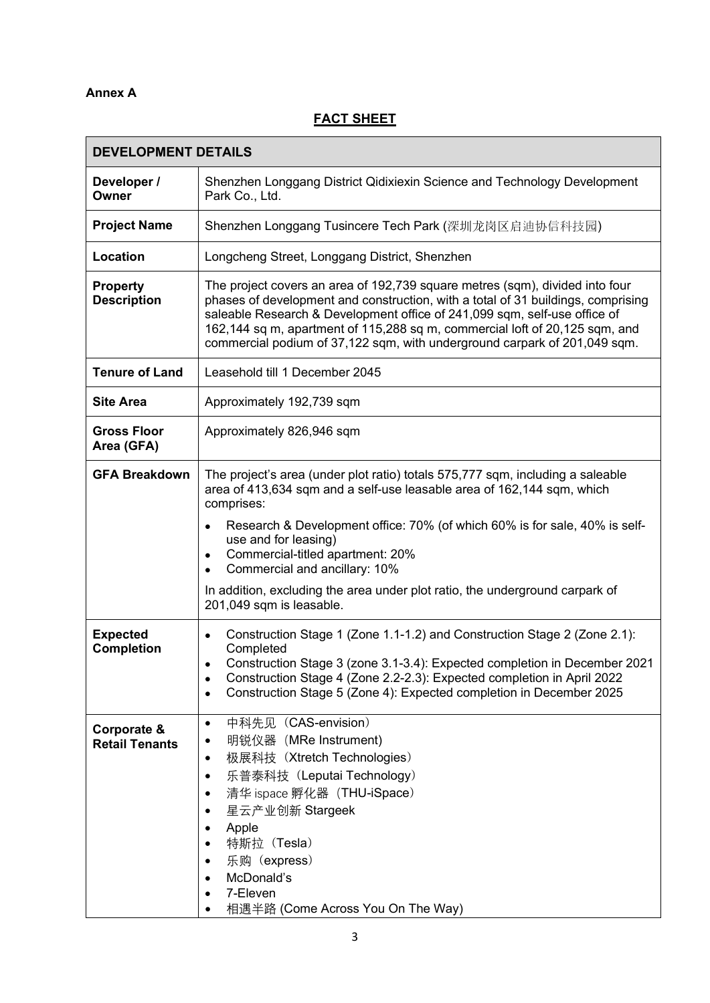## **Annex A**

# **FACT SHEET**

| <b>DEVELOPMENT DETAILS</b>            |                                                                                                                                                                                                                                                                                                                                                                                                                                                                            |
|---------------------------------------|----------------------------------------------------------------------------------------------------------------------------------------------------------------------------------------------------------------------------------------------------------------------------------------------------------------------------------------------------------------------------------------------------------------------------------------------------------------------------|
| Developer /<br>Owner                  | Shenzhen Longgang District Qidixiexin Science and Technology Development<br>Park Co., Ltd.                                                                                                                                                                                                                                                                                                                                                                                 |
| <b>Project Name</b>                   | Shenzhen Longgang Tusincere Tech Park (深圳龙岗区启迪协信科技园)                                                                                                                                                                                                                                                                                                                                                                                                                       |
| Location                              | Longcheng Street, Longgang District, Shenzhen                                                                                                                                                                                                                                                                                                                                                                                                                              |
| <b>Property</b><br><b>Description</b> | The project covers an area of 192,739 square metres (sqm), divided into four<br>phases of development and construction, with a total of 31 buildings, comprising<br>saleable Research & Development office of 241,099 sqm, self-use office of<br>162,144 sq m, apartment of 115,288 sq m, commercial loft of 20,125 sqm, and<br>commercial podium of 37,122 sqm, with underground carpark of 201,049 sqm.                                                                  |
| <b>Tenure of Land</b>                 | Leasehold till 1 December 2045                                                                                                                                                                                                                                                                                                                                                                                                                                             |
| <b>Site Area</b>                      | Approximately 192,739 sqm                                                                                                                                                                                                                                                                                                                                                                                                                                                  |
| <b>Gross Floor</b><br>Area (GFA)      | Approximately 826,946 sqm                                                                                                                                                                                                                                                                                                                                                                                                                                                  |
| <b>GFA Breakdown</b>                  | The project's area (under plot ratio) totals 575,777 sqm, including a saleable<br>area of 413,634 sqm and a self-use leasable area of 162,144 sqm, which<br>comprises:<br>Research & Development office: 70% (of which 60% is for sale, 40% is self-<br>use and for leasing)<br>Commercial-titled apartment: 20%<br>Commercial and ancillary: 10%<br>$\bullet$<br>In addition, excluding the area under plot ratio, the underground carpark of<br>201,049 sqm is leasable. |
| <b>Expected</b><br><b>Completion</b>  | Construction Stage 1 (Zone 1.1-1.2) and Construction Stage 2 (Zone 2.1):<br>$\bullet$<br>Completed<br>Construction Stage 3 (zone 3.1-3.4): Expected completion in December 2021<br>Construction Stage 4 (Zone 2.2-2.3): Expected completion in April 2022<br>Construction Stage 5 (Zone 4): Expected completion in December 2025                                                                                                                                           |
| Corporate &<br><b>Retail Tenants</b>  | 中科先见 (CAS-envision)<br>$\bullet$<br>明锐仪器 (MRe Instrument)<br>极展科技 (Xtretch Technologies)<br>$\bullet$<br>乐普泰科技 (Leputai Technology)<br>$\bullet$<br>清华 ispace 孵化器 (THU-iSpace)<br>星云产业创新 Stargeek<br>Apple<br>特斯拉 (Tesla)<br>乐购(express)<br>McDonald's<br>7-Eleven<br>相遇半路 (Come Across You On The Way)                                                                                                                                                                    |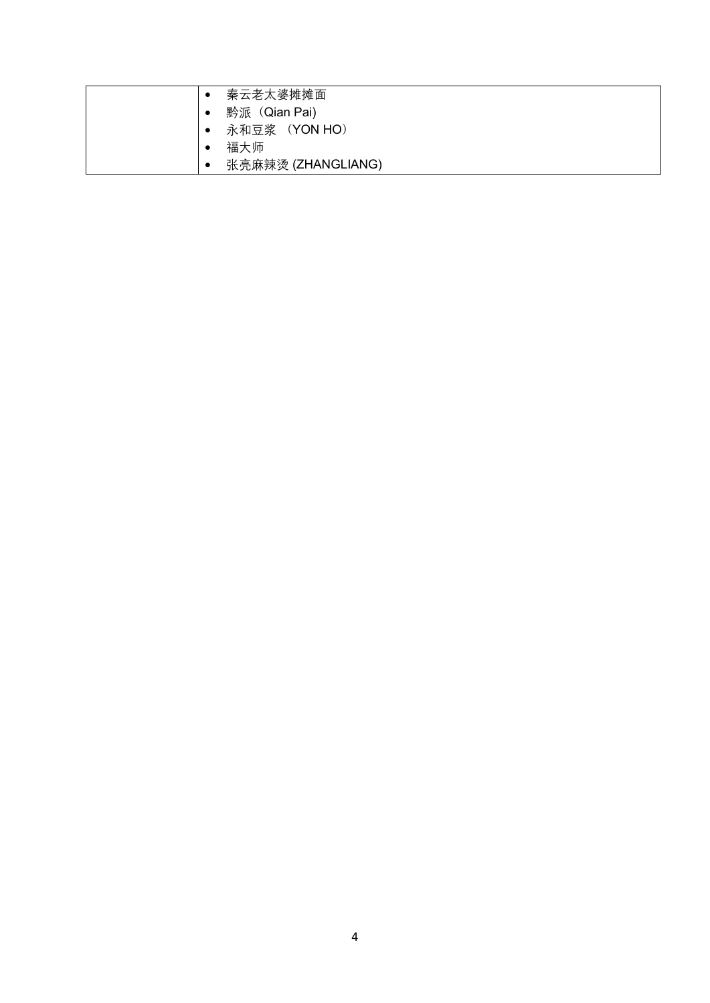| 秦云老太婆摊摊面                   |
|----------------------------|
| 黔派(Qian Pai)<br>٠          |
| 永和豆浆 (YON HO)<br>$\bullet$ |
| 福大师                        |
| 张亮麻辣烫 (ZHANGLIANG)<br>٠    |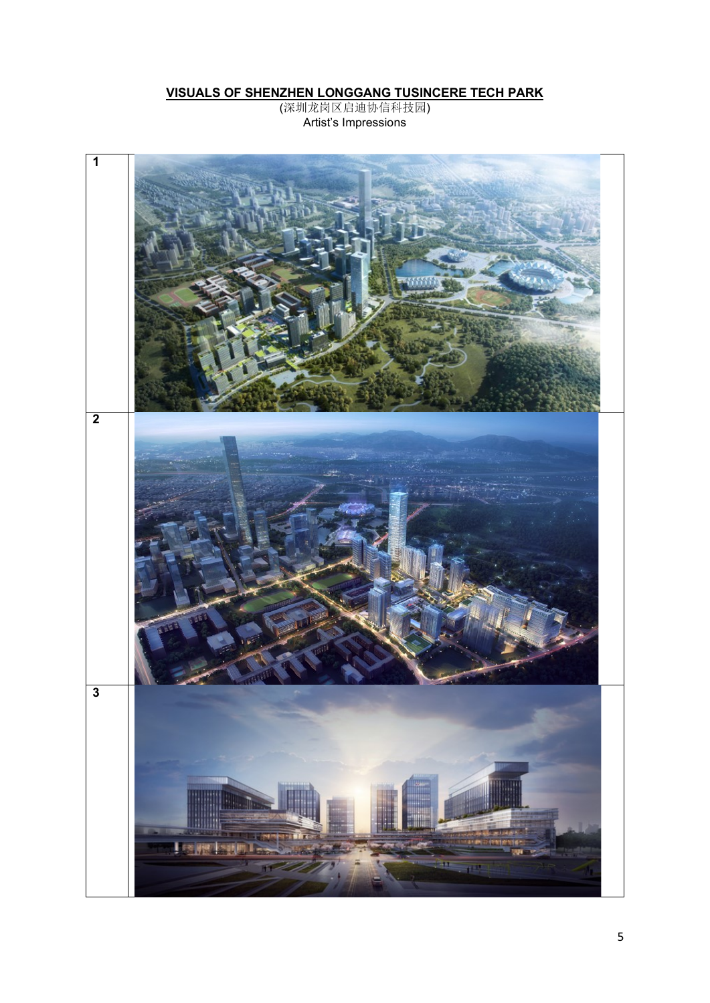#### **VISUALS OF SHENZHEN LONGGANG TUSINCERE TECH PARK**

(深圳龙岗区启迪协信科技园) Artist's Impressions